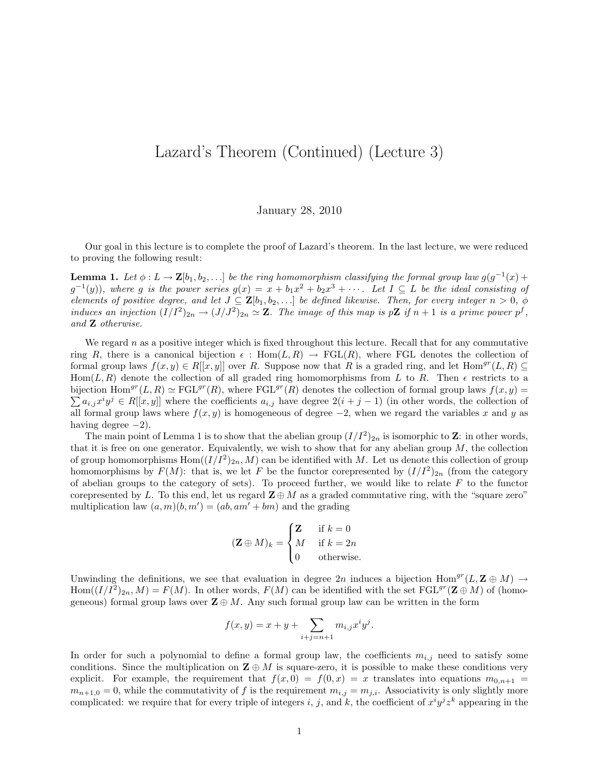## Lazard's Theorem (Continued) (Lecture 3)

January 28, 2010

Our goal in this lecture is to complete the proof of Lazard's theorem. In the last lecture, we were reduced to proving the following result:

**Lemma 1.** Let  $\phi: L \to \mathbf{Z}[b_1, b_2, \ldots]$  be the ring homomorphism classifying the formal group law  $g(g^{-1}(x) +$  $g^{-1}(y)$ , where g is the power series  $g(x) = x + b_1x^2 + b_2x^3 + \cdots$ . Let  $I \subseteq L$  be the ideal consisting of elements of positive degree, and let  $J \subseteq \mathbf{Z}[b_1, b_2, \ldots]$  be defined likewise. Then, for every integer  $n > 0$ ,  $\phi$ induces an injection  $(I/I^2)_{2n} \to (J/J^2)_{2n} \simeq \mathbb{Z}$ . The image of this map is p $\mathbb{Z}$  if  $n+1$  is a prime power p<sup>f</sup>, and Z otherwise.

We regard  $n$  as a positive integer which is fixed throughout this lecture. Recall that for any commutative ring R, there is a canonical bijection  $\epsilon$ : Hom $(L, R) \rightarrow FGL(R)$ , where FGL denotes the collection of formal group laws  $f(x, y) \in R[[x, y]]$  over R. Suppose now that R is a graded ring, and let  $Hom^{gr}(L, R) \subseteq$ Hom( $L, R$ ) denote the collection of all graded ring homomorphisms from L to R. Then  $\epsilon$  restricts to a bijection  $\text{Hom}^{gr}(L, R) \simeq \text{FGL}^{gr}(R)$ , where  $\text{FGL}^{gr}(R)$  denotes the collection of formal group laws  $f(x, y) =$  $\sum a_{i,j} x^i y^j \in R[[x, y]]$  where the coefficients  $a_{i,j}$  have degree  $2(i + j - 1)$  (in other words, the collection of all formal group laws where  $f(x, y)$  is homogeneous of degree  $-2$ , when we regard the variables x and y as having degree  $-2$ ).

The main point of Lemma 1 is to show that the abelian group  $(I/I^2)_{2n}$  is isomorphic to **Z**: in other words, that it is free on one generator. Equivalently, we wish to show that for any abelian group  $M$ , the collection of group homomorphisms  $Hom((I/I<sup>2</sup>)<sub>2n</sub>, M)$  can be identified with M. Let us denote this collection of group homomorphisms by  $F(M)$ : that is, we let F be the functor corepresented by  $(I/I^2)_{2n}$  (from the category of abelian groups to the category of sets). To proceed further, we would like to relate  $F$  to the functor corepresented by L. To this end, let us regard  $\mathbf{Z} \oplus M$  as a graded commutative ring, with the "square zero" multiplication law  $(a, m)(b, m') = (ab, am' + bm)$  and the grading

$$
(\mathbf{Z} \oplus M)_k = \begin{cases} \mathbf{Z} & \text{if } k = 0\\ M & \text{if } k = 2n\\ 0 & \text{otherwise.} \end{cases}
$$

Unwinding the definitions, we see that evaluation in degree 2n induces a bijection Hom<sup>gr</sup>(L, **Z**  $\oplus$  M)  $\rightarrow$  $Hom((I/I<sup>2</sup>)<sub>2n</sub>, M) = F(M)$ . In other words,  $F(M)$  can be identified with the set  $FGL<sup>gr</sup>(\mathbf{Z} \oplus M)$  of (homogeneous) formal group laws over  $\mathbf{Z} \oplus M$ . Any such formal group law can be written in the form

$$
f(x,y) = x + y + \sum_{i+j=n+1} m_{i,j} x^{i} y^{j}.
$$

In order for such a polynomial to define a formal group law, the coefficients  $m_{i,j}$  need to satisfy some conditions. Since the multiplication on  $\mathbf{Z} \oplus M$  is square-zero, it is possible to make these conditions very explicit. For example, the requirement that  $f(x, 0) = f(0, x) = x$  translates into equations  $m_{0,n+1} =$  $m_{n+1,0} = 0$ , while the commutativity of f is the requirement  $m_{i,j} = m_{j,i}$ . Associativity is only slightly more complicated: we require that for every triple of integers i, j, and k, the coefficient of  $x^i y^j z^k$  appearing in the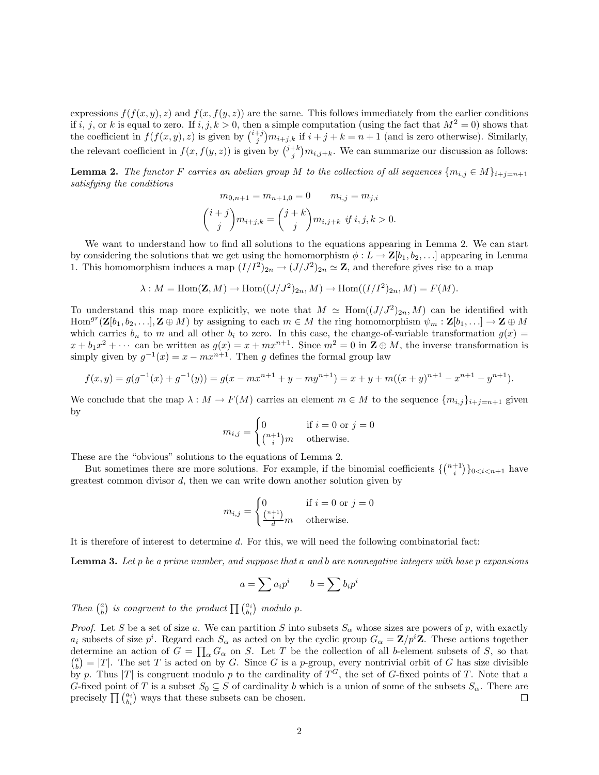expressions  $f(f(x, y), z)$  and  $f(x, f(y, z))$  are the same. This follows immediately from the earlier conditions if i, j, or k is equal to zero. If  $i, j, k > 0$ , then a simple computation (using the fact that  $M^2 = 0$ ) shows that the coefficient in  $f(f(x, y), z)$  is given by  $\binom{i+j}{j}m_{i+j,k}$  if  $i+j+k=n+1$  (and is zero otherwise). Similarly, the relevant coefficient in  $f(x, f(y, z))$  is given by  $\binom{j+k}{j} m_{i,j+k}$ . We can summarize our discussion as follows:

**Lemma 2.** The functor F carries an abelian group M to the collection of all sequences  $\{m_{i,j} \in M\}_{i+j=n+1}$ satisfying the conditions

$$
m_{0,n+1} = m_{n+1,0} = 0 \t m_{i,j} = m_{j,i}
$$

$$
{i+j \choose j} m_{i+j,k} = {j+k \choose j} m_{i,j+k} \text{ if } i,j,k > 0.
$$

We want to understand how to find all solutions to the equations appearing in Lemma 2. We can start by considering the solutions that we get using the homomorphism  $\phi: L \to \mathbf{Z}[b_1, b_2, \ldots]$  appearing in Lemma 1. This homomorphism induces a map  $(I/I^2)_{2n} \to (J/J^2)_{2n} \simeq \mathbb{Z}$ , and therefore gives rise to a map

$$
\lambda: M = \text{Hom}(\mathbf{Z}, M) \to \text{Hom}((J/J^2)_{2n}, M) \to \text{Hom}((I/I^2)_{2n}, M) = F(M).
$$

To understand this map more explicitly, we note that  $M \simeq \text{Hom}((J/J^2)_{2n}, M)$  can be identified with  $\text{Hom}^{gr}(\mathbf{Z}[b_1, b_2, \ldots], \mathbf{Z} \oplus M)$  by assigning to each  $m \in M$  the ring homomorphism  $\psi_m : \mathbf{Z}[b_1, \ldots] \to \mathbf{Z} \oplus M$ which carries  $b_n$  to m and all other  $b_i$  to zero. In this case, the change-of-variable transformation  $g(x)$  =  $x + b_1x^2 + \cdots$  can be written as  $g(x) = x + mx^{n+1}$ . Since  $m^2 = 0$  in  $\mathbb{Z} \oplus M$ , the inverse transformation is simply given by  $g^{-1}(x) = x - mx^{n+1}$ . Then g defines the formal group law

$$
f(x,y) = g(g^{-1}(x) + g^{-1}(y)) = g(x - mx^{n+1} + y - my^{n+1}) = x + y + m((x + y)^{n+1} - x^{n+1} - y^{n+1}).
$$

We conclude that the map  $\lambda : M \to F(M)$  carries an element  $m \in M$  to the sequence  $\{m_{i,j}\}_{i+j=n+1}$  given by

$$
m_{i,j} = \begin{cases} 0 & \text{if } i = 0 \text{ or } j = 0\\ \binom{n+1}{i}m & \text{otherwise.} \end{cases}
$$

These are the "obvious" solutions to the equations of Lemma 2.

But sometimes there are more solutions. For example, if the binomial coefficients  $\{ {n+1 \choose i} \}_{0 \le i \le n+1}$  have greatest common divisor  $d$ , then we can write down another solution given by

$$
m_{i,j} = \begin{cases} 0 & \text{if } i = 0 \text{ or } j = 0\\ \frac{\binom{n+1}{i}}{d}m & \text{otherwise.} \end{cases}
$$

It is therefore of interest to determine d. For this, we will need the following combinatorial fact:

**Lemma 3.** Let  $p$  be a prime number, and suppose that a and b are nonnegative integers with base  $p$  expansions

$$
a = \sum a_i p^i \qquad b = \sum b_i p^i
$$

Then  $\binom{a}{b}$  is congruent to the product  $\prod_{b_i} \binom{a_i}{b_i}$  modulo p.

*Proof.* Let S be a set of size a. We can partition S into subsets  $S_{\alpha}$  whose sizes are powers of p, with exactly  $a_i$  subsets of size  $p^i$ . Regard each  $S_\alpha$  as acted on by the cyclic group  $G_\alpha = \mathbf{Z}/p^i\mathbf{Z}$ . These actions together determine an action of  $G = \prod_{\alpha} G_{\alpha}$  on S. Let T be the collection of all b-element subsets of S, so that  $\binom{a}{b} = |T|$ . The set T is acted on by G. Since G is a p-group, every nontrivial orbit of G has size divisible by p. Thus |T| is congruent modulo p to the cardinality of  $T<sup>G</sup>$ , the set of G-fixed points of T. Note that a G-fixed point of T is a subset  $S_0 \subseteq S$  of cardinality b which is a union of some of the subsets  $S_\alpha$ . There are precisely  $\prod {\binom{a_i}{b_i}}$  ways that these subsets can be chosen.  $\Box$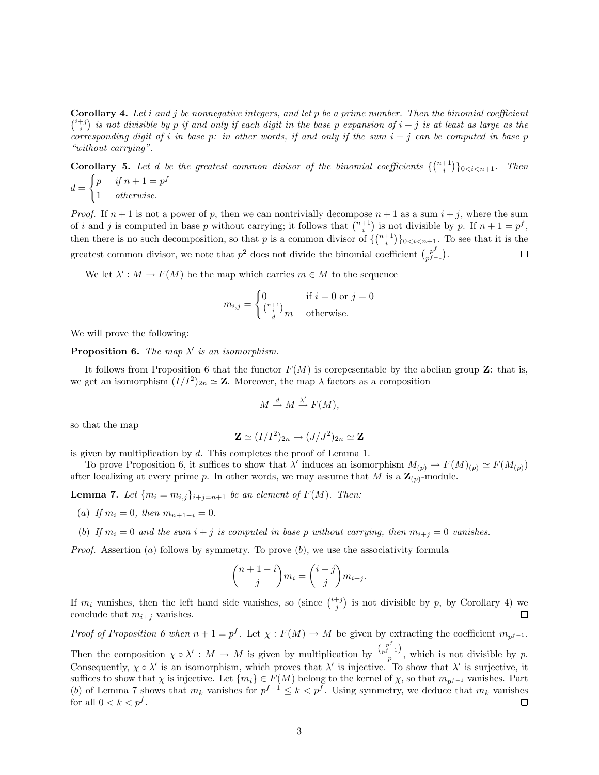**Corollary 4.** Let i and j be nonnegative integers, and let p be a prime number. Then the binomial coefficient  $\binom{i+j}{i}$  is not divisible by p if and only if each digit in the base p expansion of  $i + j$  is at least as large as the corresponding digit of i in base p: in other words, if and only if the sum  $i + j$  can be computed in base p "without carrying".

**Corollary 5.** Let d be the greatest common divisor of the binomial coefficients  $\{ {n+1 \choose i} \}_{0 \le i \le n+1}$ . Then  $d =$  $\int p$  if  $n+1 = p^f$ 1 otherwise.

*Proof.* If  $n + 1$  is not a power of p, then we can nontrivially decompose  $n + 1$  as a sum  $i + j$ , where the sum of i and j is computed in base p without carrying; it follows that  $\binom{n+1}{i}$  is not divisible by p. If  $n+1 = p^f$ , then there is no such decomposition, so that p is a common divisor of  $\{ {n+1 \choose i} \}_{0 \le i \le n+1}$ . To see that it is the greatest common divisor, we note that  $p^2$  does not divide the binomial coefficient  $\binom{p^f}{p^f}$  $\binom{p^J}{p^f-1}.$  $\Box$ 

We let  $\lambda' : M \to F(M)$  be the map which carries  $m \in M$  to the sequence

$$
m_{i,j} = \begin{cases} 0 & \text{if } i = 0 \text{ or } j = 0\\ \frac{\binom{n+1}{i}}{d}m & \text{otherwise.} \end{cases}
$$

We will prove the following:

**Proposition 6.** The map  $\lambda'$  is an isomorphism.

It follows from Proposition 6 that the functor  $F(M)$  is corepesentable by the abelian group **Z**: that is, we get an isomorphism  $(I/I^2)_{2n} \simeq Z$ . Moreover, the map  $\lambda$  factors as a composition

$$
M \xrightarrow{d} M \xrightarrow{\lambda'} F(M),
$$

so that the map

$$
\mathbf{Z} \simeq (I/I^2)_{2n} \to (J/J^2)_{2n} \simeq \mathbf{Z}
$$

is given by multiplication by d. This completes the proof of Lemma 1.

To prove Proposition 6, it suffices to show that  $\lambda'$  induces an isomorphism  $M_{(p)} \to F(M)_{(p)} \simeq F(M_{(p)})$ after localizing at every prime p. In other words, we may assume that M is a  $\mathbf{Z}_{(p)}$ -module.

**Lemma 7.** Let  $\{m_i = m_{i,j}\}_{i+j=n+1}$  be an element of  $F(M)$ . Then:

- (a) If  $m_i = 0$ , then  $m_{n+1-i} = 0$ .
- (b) If  $m_i = 0$  and the sum  $i + j$  is computed in base p without carrying, then  $m_{i+j} = 0$  vanishes.

*Proof.* Assertion (a) follows by symmetry. To prove  $(b)$ , we use the associativity formula

$$
\binom{n+1-i}{j}m_i = \binom{i+j}{j}m_{i+j}.
$$

If  $m_i$  vanishes, then the left hand side vanishes, so (since  $\binom{i+j}{j}$  is not divisible by p, by Corollary 4) we conclude that  $m_{i+j}$  vanishes.  $\Box$ 

Proof of Proposition 6 when  $n + 1 = p^f$ . Let  $\chi : F(M) \to M$  be given by extracting the coefficient  $m_{p^f-1}$ .

Then the composition  $\chi \circ \lambda' : M \to M$  is given by multiplication by  $\frac{\binom{p^f}{p^f-1}}{p}$ , which is not divisible by p. Consequently,  $\chi \circ \lambda'$  is an isomorphism, which proves that  $\lambda'$  is injective. To show that  $\lambda'$  is surjective, it suffices to show that  $\chi$  is injective. Let  $\{m_i\} \in F(M)$  belong to the kernel of  $\chi$ , so that  $m_{p^{f-1}}$  vanishes. Part (b) of Lemma 7 shows that  $m_k$  vanishes for  $p^{f-1} \leq k < p^f$ . Using symmetry, we deduce that  $m_k$  vanishes for all  $0 < k < p<sup>f</sup>$ .  $\Box$